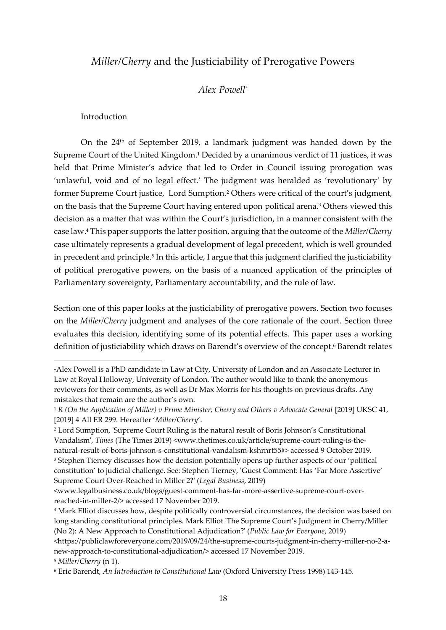# *Miller/Cherry* and the Justiciability of Prerogative Powers

## *Alex Powell\**

#### Introduction

On the 24th of September 2019, a landmark judgment was handed down by the Supreme Court of the United Kingdom.<sup>1</sup> Decided by a unanimous verdict of 11 justices, it was held that Prime Minister's advice that led to Order in Council issuing prorogation was 'unlawful, void and of no legal effect.' The judgment was heralded as 'revolutionary' by former Supreme Court justice, Lord Sumption.<sup>2</sup> Others were critical of the court's judgment, on the basis that the Supreme Court having entered upon political arena.<sup>3</sup> Others viewed this decision as a matter that was within the Court's jurisdiction, in a manner consistent with the case law. <sup>4</sup> This paper supports the latter position, arguing that the outcome of the *Miller/Cherry* case ultimately represents a gradual development of legal precedent, which is well grounded in precedent and principle.<sup>5</sup> In this article, I argue that this judgment clarified the justiciability of political prerogative powers, on the basis of a nuanced application of the principles of Parliamentary sovereignty, Parliamentary accountability, and the rule of law.

Section one of this paper looks at the justiciability of prerogative powers. Section two focuses on the *Miller/Cherry* judgment and analyses of the core rationale of the court. Section three evaluates this decision, identifying some of its potential effects. This paper uses a working definition of justiciability which draws on Barendt's overview of the concept. <sup>6</sup> Barendt relates

<sup>\*</sup>Alex Powell is a PhD candidate in Law at City, University of London and an Associate Lecturer in Law at Royal Holloway, University of London. The author would like to thank the anonymous reviewers for their comments, as well as Dr Max Morris for his thoughts on previous drafts. Any mistakes that remain are the author's own.

<sup>&</sup>lt;sup>1</sup> *R* (On the Application of Miller) v Prime Minister; Cherry and Others v Advocate General [2019] UKSC 41, [2019] 4 All ER 299. Hereafter '*Miller/Cherry*'.

<sup>2</sup> Lord Sumption, 'Supreme Court Ruling is the natural result of Boris Johnson's Constitutional Vandalism', *Times* (The Times 2019) <www.thetimes.co.uk/article/supreme-court-ruling-is-thenatural-result-of-boris-johnson-s-constitutional-vandalism-kshrnrt55#> accessed 9 October 2019. <sup>3</sup> Stephen Tierney discusses how the decision potentially opens up further aspects of our 'political constitution' to judicial challenge. See: Stephen Tierney, 'Guest Comment: Has 'Far More Assertive' Supreme Court Over-Reached in Miller 2?' (*Legal Business*, 2019)

<sup>&</sup>lt;www.legalbusiness.co.uk/blogs/guest-comment-has-far-more-assertive-supreme-court-overreached-in-miller-2/> accessed 17 November 2019.

<sup>4</sup> Mark Elliot discusses how, despite politically controversial circumstances, the decision was based on long standing constitutional principles. Mark Elliot 'The Supreme Court's Judgment in Cherry/Miller (No 2): A New Approach to Constitutional Adjudication?' (*Public Law for Everyone*, 2019)

<sup>&</sup>lt;https://publiclawforeveryone.com/2019/09/24/the-supreme-courts-judgment-in-cherry-miller-no-2-anew-approach-to-constitutional-adjudication/> accessed 17 November 2019.

<sup>5</sup> *Miller/Cherry* (n 1).

<sup>6</sup> Eric Barendt, *An Introduction to Constitutional Law* (Oxford University Press 1998) 143-145.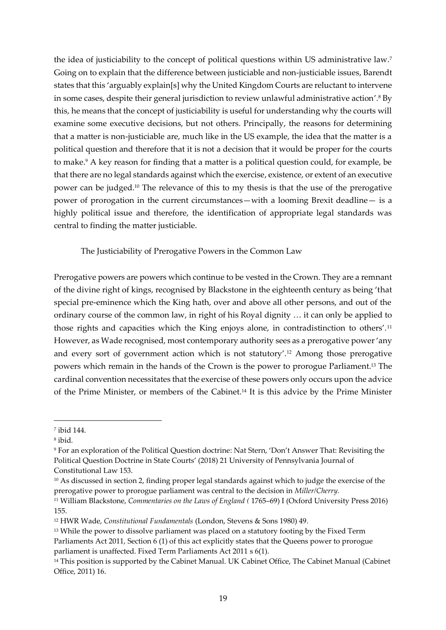the idea of justiciability to the concept of political questions within US administrative law.<sup>7</sup> Going on to explain that the difference between justiciable and non-justiciable issues, Barendt states that this 'arguably explain[s] why the United Kingdom Courts are reluctant to intervene in some cases, despite their general jurisdiction to review unlawful administrative action'.<sup>8</sup> By this, he means that the concept of justiciability is useful for understanding why the courts will examine some executive decisions, but not others. Principally, the reasons for determining that a matter is non-justiciable are, much like in the US example, the idea that the matter is a political question and therefore that it is not a decision that it would be proper for the courts to make.<sup>9</sup> A key reason for finding that a matter is a political question could, for example, be that there are no legal standards against which the exercise, existence, or extent of an executive power can be judged.<sup>10</sup> The relevance of this to my thesis is that the use of the prerogative power of prorogation in the current circumstances—with a looming Brexit deadline— is a highly political issue and therefore, the identification of appropriate legal standards was central to finding the matter justiciable.

The Justiciability of Prerogative Powers in the Common Law

Prerogative powers are powers which continue to be vested in the Crown. They are a remnant of the divine right of kings, recognised by Blackstone in the eighteenth century as being 'that special pre-eminence which the King hath, over and above all other persons, and out of the ordinary course of the common law, in right of his Royal dignity … it can only be applied to those rights and capacities which the King enjoys alone, in contradistinction to others'.<sup>11</sup> However, as Wade recognised, most contemporary authority sees as a prerogative power 'any and every sort of government action which is not statutory'.<sup>12</sup> Among those prerogative powers which remain in the hands of the Crown is the power to prorogue Parliament.<sup>13</sup> The cardinal convention necessitates that the exercise of these powers only occurs upon the advice of the Prime Minister, or members of the Cabinet.<sup>14</sup> It is this advice by the Prime Minister

<sup>7</sup> ibid 144.

<sup>8</sup> ibid.

<sup>9</sup> For an exploration of the Political Question doctrine: Nat Stern, 'Don't Answer That: Revisiting the Political Question Doctrine in State Courts' (2018) 21 University of Pennsylvania Journal of Constitutional Law 153.

<sup>10</sup> As discussed in section 2, finding proper legal standards against which to judge the exercise of the prerogative power to prorogue parliament was central to the decision in *Miller/Cherry.*

<sup>11</sup> William Blackstone, *Commentaries on the Laws of England (* 1765–69) I (Oxford University Press 2016) 155.

<sup>12</sup> HWR Wade, *Constitutional Fundamentals* (London, Stevens & Sons 1980) 49.

<sup>&</sup>lt;sup>13</sup> While the power to dissolve parliament was placed on a statutory footing by the Fixed Term Parliaments Act 2011, Section 6 (1) of this act explicitly states that the Queens power to prorogue parliament is unaffected. Fixed Term Parliaments Act 2011 s 6(1).

<sup>&</sup>lt;sup>14</sup> This position is supported by the Cabinet Manual. UK Cabinet Office, The Cabinet Manual (Cabinet Office, 2011) 16.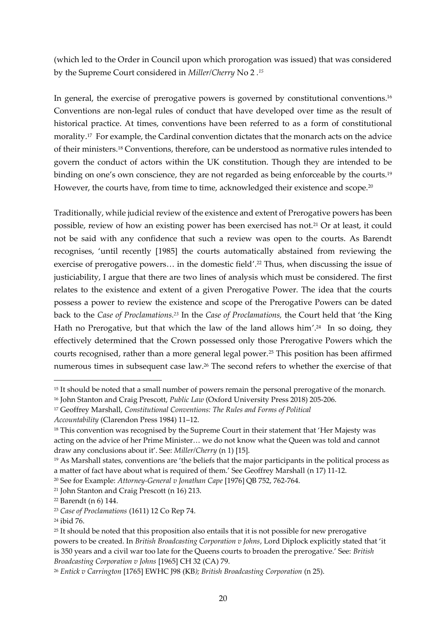(which led to the Order in Council upon which prorogation was issued) that was considered by the Supreme Court considered in *Miller/Cherry* No 2 *. 15*

In general, the exercise of prerogative powers is governed by constitutional conventions.<sup>16</sup> Conventions are non-legal rules of conduct that have developed over time as the result of historical practice. At times, conventions have been referred to as a form of constitutional morality.<sup>17</sup> For example, the Cardinal convention dictates that the monarch acts on the advice of their ministers.<sup>18</sup> Conventions, therefore, can be understood as normative rules intended to govern the conduct of actors within the UK constitution. Though they are intended to be binding on one's own conscience, they are not regarded as being enforceable by the courts.<sup>19</sup> However, the courts have, from time to time, acknowledged their existence and scope.<sup>20</sup>

Traditionally, while judicial review of the existence and extent of Prerogative powers has been possible, review of how an existing power has been exercised has not.<sup>21</sup> Or at least, it could not be said with any confidence that such a review was open to the courts. As Barendt recognises, 'until recently [1985] the courts automatically abstained from reviewing the exercise of prerogative powers... in the domestic field'.<sup>22</sup> Thus, when discussing the issue of justiciability, I argue that there are two lines of analysis which must be considered. The first relates to the existence and extent of a given Prerogative Power. The idea that the courts possess a power to review the existence and scope of the Prerogative Powers can be dated back to the *Case of Proclamations.<sup>23</sup>* In the *Case of Proclamations,* the Court held that 'the King Hath no Prerogative, but that which the law of the land allows him'.<sup>24</sup> In so doing, they effectively determined that the Crown possessed only those Prerogative Powers which the courts recognised, rather than a more general legal power.<sup>25</sup> This position has been affirmed numerous times in subsequent case law.<sup>26</sup> The second refers to whether the exercise of that

<sup>&</sup>lt;sup>15</sup> It should be noted that a small number of powers remain the personal prerogative of the monarch.

<sup>16</sup> John Stanton and Craig Prescott, *Public Law* (Oxford University Press 2018) 205-206.

<sup>17</sup> Geoffrey Marshall, *Constitutional Conventions: The Rules and Forms of Political* 

*Accountability* (Clarendon Press 1984) 11–12.

<sup>&</sup>lt;sup>18</sup> This convention was recognised by the Supreme Court in their statement that 'Her Majesty was acting on the advice of her Prime Minister… we do not know what the Queen was told and cannot draw any conclusions about it'. See: *Miller/Cherry* (n 1) [15].

<sup>19</sup> As Marshall states, conventions are 'the beliefs that the major participants in the political process as a matter of fact have about what is required of them.' See Geoffrey Marshall (n 17) 11-12.

<sup>20</sup> See for Example: *Attorney-General v Jonathan Cape* [1976] QB 752, 762-764.

<sup>21</sup> John Stanton and Craig Prescott (n 16) 213.

<sup>22</sup> Barendt (n 6) 144.

<sup>23</sup> *Case of Proclamations* (1611) 12 Co Rep 74.

<sup>24</sup> ibid 76.

<sup>&</sup>lt;sup>25</sup> It should be noted that this proposition also entails that it is not possible for new prerogative powers to be created. In *British Broadcasting Corporation v Johns*, Lord Diplock explicitly stated that 'it is 350 years and a civil war too late for the Queens courts to broaden the prerogative.' See: *British Broadcasting Corporation v Johns* [1965] CH 32 (CA) 79.

<sup>26</sup> *Entick v Carrington* [1765] EWHC J98 (KB*); British Broadcasting Corporation* (n 25).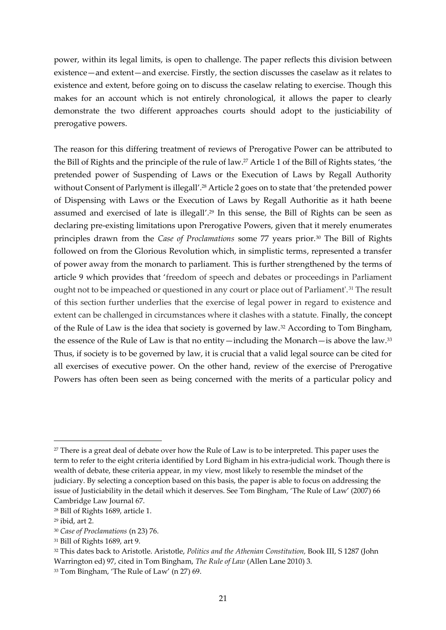power, within its legal limits, is open to challenge. The paper reflects this division between existence—and extent—and exercise. Firstly, the section discusses the caselaw as it relates to existence and extent, before going on to discuss the caselaw relating to exercise. Though this makes for an account which is not entirely chronological, it allows the paper to clearly demonstrate the two different approaches courts should adopt to the justiciability of prerogative powers.

The reason for this differing treatment of reviews of Prerogative Power can be attributed to the Bill of Rights and the principle of the rule of law.<sup>27</sup> Article 1 of the Bill of Rights states, 'the pretended power of Suspending of Laws or the Execution of Laws by Regall Authority without Consent of Parlyment is illegall'.<sup>28</sup> Article 2 goes on to state that 'the pretended power of Dispensing with Laws or the Execution of Laws by Regall Authoritie as it hath beene assumed and exercised of late is illegall'.<sup>29</sup> In this sense, the Bill of Rights can be seen as declaring pre-existing limitations upon Prerogative Powers, given that it merely enumerates principles drawn from the *Case of Proclamations* some 77 years prior.<sup>30</sup> The Bill of Rights followed on from the Glorious Revolution which, in simplistic terms, represented a transfer of power away from the monarch to parliament. This is further strengthened by the terms of article 9 which provides that 'freedom of speech and debates or proceedings in Parliament ought not to be impeached or questioned in any court or place out of Parliament'.<sup>31</sup> The result of this section further underlies that the exercise of legal power in regard to existence and extent can be challenged in circumstances where it clashes with a statute. Finally, the concept of the Rule of Law is the idea that society is governed by law.<sup>32</sup> According to Tom Bingham, the essence of the Rule of Law is that no entity—including the Monarch—is above the law.<sup>33</sup> Thus, if society is to be governed by law, it is crucial that a valid legal source can be cited for all exercises of executive power. On the other hand, review of the exercise of Prerogative Powers has often been seen as being concerned with the merits of a particular policy and

<sup>&</sup>lt;sup>27</sup> There is a great deal of debate over how the Rule of Law is to be interpreted. This paper uses the term to refer to the eight criteria identified by Lord Bigham in his extra-judicial work. Though there is wealth of debate, these criteria appear, in my view, most likely to resemble the mindset of the judiciary. By selecting a conception based on this basis, the paper is able to focus on addressing the issue of Justiciability in the detail which it deserves. See Tom Bingham, 'The Rule of Law' (2007) 66 Cambridge Law Journal 67.

<sup>28</sup> Bill of Rights 1689, article 1.

<sup>29</sup> ibid, art 2.

<sup>30</sup> *Case of Proclamations* (n 23) 76.

<sup>31</sup> Bill of Rights 1689, art 9.

<sup>32</sup> This dates back to Aristotle. Aristotle, *Politics and the Athenian Constitution,* Book III, S 1287 (John Warrington ed) 97, cited in Tom Bingham, *The Rule of Law* (Allen Lane 2010) 3.

<sup>33</sup> Tom Bingham, 'The Rule of Law' (n 27) 69.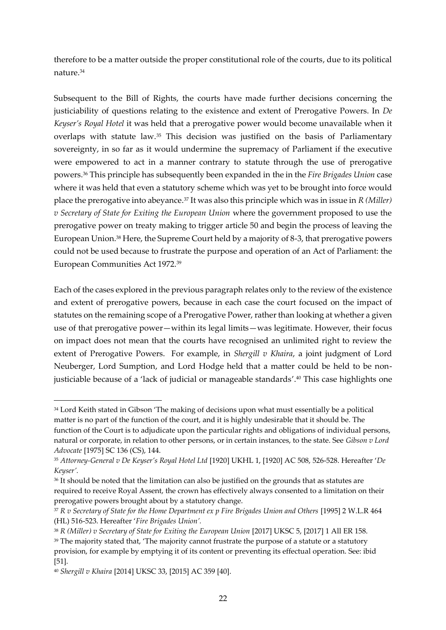therefore to be a matter outside the proper constitutional role of the courts, due to its political nature. 34

Subsequent to the Bill of Rights, the courts have made further decisions concerning the justiciability of questions relating to the existence and extent of Prerogative Powers. In *De Keyser's Royal Hotel* it was held that a prerogative power would become unavailable when it overlaps with statute law. <sup>35</sup> This decision was justified on the basis of Parliamentary sovereignty, in so far as it would undermine the supremacy of Parliament if the executive were empowered to act in a manner contrary to statute through the use of prerogative powers. <sup>36</sup> This principle has subsequently been expanded in the in the *Fire Brigades Union* case where it was held that even a statutory scheme which was yet to be brought into force would place the prerogative into abeyance.<sup>37</sup> It was also this principle which was in issue in *R (Miller) v Secretary of State for Exiting the European Union* where the government proposed to use the prerogative power on treaty making to trigger article 50 and begin the process of leaving the European Union.<sup>38</sup> Here, the Supreme Court held by a majority of 8-3, that prerogative powers could not be used because to frustrate the purpose and operation of an Act of Parliament: the European Communities Act 1972.<sup>39</sup>

Each of the cases explored in the previous paragraph relates only to the review of the existence and extent of prerogative powers, because in each case the court focused on the impact of statutes on the remaining scope of a Prerogative Power, rather than looking at whether a given use of that prerogative power—within its legal limits—was legitimate. However, their focus on impact does not mean that the courts have recognised an unlimited right to review the extent of Prerogative Powers. For example, in *Shergill v Khaira*, a joint judgment of Lord Neuberger, Lord Sumption, and Lord Hodge held that a matter could be held to be nonjusticiable because of a 'lack of judicial or manageable standards'.<sup>40</sup> This case highlights one

<sup>&</sup>lt;sup>34</sup> Lord Keith stated in Gibson 'The making of decisions upon what must essentially be a political matter is no part of the function of the court, and it is highly undesirable that it should be. The function of the Court is to adjudicate upon the particular rights and obligations of individual persons, natural or corporate, in relation to other persons, or in certain instances, to the state. See *Gibson v Lord Advocate* [1975] SC 136 (CS), 144.

<sup>35</sup> *Attorney-General v De Keyser's Royal Hotel Ltd* [1920] UKHL 1, [1920] AC 508, 526-528. Hereafter '*De Keyser'.*

<sup>&</sup>lt;sup>36</sup> It should be noted that the limitation can also be justified on the grounds that as statutes are required to receive Royal Assent, the crown has effectively always consented to a limitation on their prerogative powers brought about by a statutory change.

<sup>37</sup> *R v Secretary of State for the Home Department ex p Fire Brigades Union and Others* [1995] 2 W.L.R 464 (HL) 516-523. Hereafter '*Fire Brigades Union'.*

<sup>38</sup> *R (Miller) v Secretary of State for Exiting the European Union* [2017] UKSC 5, [2017] 1 All ER 158.

<sup>&</sup>lt;sup>39</sup> The majority stated that, 'The majority cannot frustrate the purpose of a statute or a statutory provision, for example by emptying it of its content or preventing its effectual operation. See: ibid [51].

<sup>40</sup> *Shergill v Khaira* [2014] UKSC 33, [2015] AC 359 [40].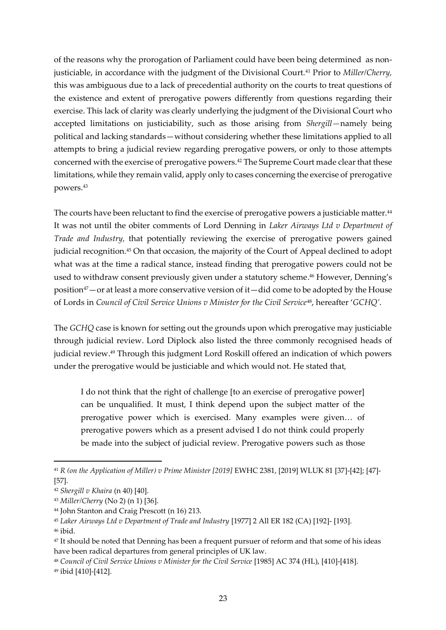of the reasons why the prorogation of Parliament could have been being determined as nonjusticiable, in accordance with the judgment of the Divisional Court.<sup>41</sup> Prior to *Miller/Cherry,*  this was ambiguous due to a lack of precedential authority on the courts to treat questions of the existence and extent of prerogative powers differently from questions regarding their exercise. This lack of clarity was clearly underlying the judgment of the Divisional Court who accepted limitations on justiciability, such as those arising from *Shergill—*namely being political and lacking standards—without considering whether these limitations applied to all attempts to bring a judicial review regarding prerogative powers, or only to those attempts concerned with the exercise of prerogative powers.<sup>42</sup> The Supreme Court made clear that these limitations, while they remain valid, apply only to cases concerning the exercise of prerogative powers.<sup>43</sup>

The courts have been reluctant to find the exercise of prerogative powers a justiciable matter.<sup>44</sup> It was not until the obiter comments of Lord Denning in *Laker Airways Ltd v Department of Trade and Industry,* that potentially reviewing the exercise of prerogative powers gained judicial recognition.<sup>45</sup> On that occasion, the majority of the Court of Appeal declined to adopt what was at the time a radical stance, instead finding that prerogative powers could not be used to withdraw consent previously given under a statutory scheme. <sup>46</sup> However, Denning's position<sup>47</sup>—or at least a more conservative version of it—did come to be adopted by the House of Lords in *Council of Civil Service Unions v Minister for the Civil Service*48, hereafter '*GCHQ'*.

The *GCHQ* case is known for setting out the grounds upon which prerogative may justiciable through judicial review. Lord Diplock also listed the three commonly recognised heads of judicial review. <sup>49</sup> Through this judgment Lord Roskill offered an indication of which powers under the prerogative would be justiciable and which would not. He stated that,

I do not think that the right of challenge [to an exercise of prerogative power] can be unqualified. It must, I think depend upon the subject matter of the prerogative power which is exercised. Many examples were given… of prerogative powers which as a present advised I do not think could properly be made into the subject of judicial review. Prerogative powers such as those

<sup>46</sup> ibid.

<sup>41</sup> *R (on the Application of Miller) v Prime Minister [2019]* EWHC 2381, [2019] WLUK 81 [37]-[42]; [47]- [57].

<sup>42</sup> *Shergill v Khaira* (n 40) [40].

<sup>43</sup> *Miller/Cherry* (No 2) (n 1) [36].

<sup>44</sup> John Stanton and Craig Prescott (n 16) 213.

<sup>45</sup> *Laker Airways Ltd v Department of Trade and Industry* [1977] 2 All ER 182 (CA) [192]- [193].

<sup>47</sup> It should be noted that Denning has been a frequent pursuer of reform and that some of his ideas have been radical departures from general principles of UK law.

<sup>48</sup> *Council of Civil Service Unions v Minister for the Civil Service* [1985] AC 374 (HL), [410]-[418].

<sup>49</sup> ibid [410]-[412].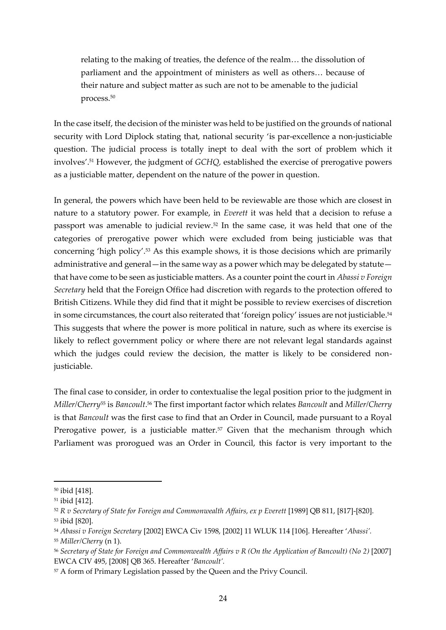relating to the making of treaties, the defence of the realm… the dissolution of parliament and the appointment of ministers as well as others… because of their nature and subject matter as such are not to be amenable to the judicial process.<sup>50</sup>

In the case itself, the decision of the minister was held to be justified on the grounds of national security with Lord Diplock stating that, national security 'is par-excellence a non-justiciable question. The judicial process is totally inept to deal with the sort of problem which it involves'.<sup>51</sup> However, the judgment of *GCHQ,* established the exercise of prerogative powers as a justiciable matter, dependent on the nature of the power in question.

In general, the powers which have been held to be reviewable are those which are closest in nature to a statutory power. For example, in *Everett* it was held that a decision to refuse a passport was amenable to judicial review.<sup>52</sup> In the same case, it was held that one of the categories of prerogative power which were excluded from being justiciable was that concerning 'high policy'.<sup>53</sup> As this example shows, it is those decisions which are primarily administrative and general—in the same way as a power which may be delegated by statute that have come to be seen as justiciable matters. As a counter point the court in *Abassi v Foreign Secretary* held that the Foreign Office had discretion with regards to the protection offered to British Citizens. While they did find that it might be possible to review exercises of discretion in some circumstances, the court also reiterated that 'foreign policy' issues are not justiciable.<sup>54</sup> This suggests that where the power is more political in nature, such as where its exercise is likely to reflect government policy or where there are not relevant legal standards against which the judges could review the decision, the matter is likely to be considered nonjusticiable.

The final case to consider, in order to contextualise the legal position prior to the judgment in *Miller/Cherry*<sup>55</sup> is *Bancoult*. <sup>56</sup> The first important factor which relates *Bancoult* and *Miller/Cherry* is that *Bancoult* was the first case to find that an Order in Council, made pursuant to a Royal Prerogative power, is a justiciable matter.<sup>57</sup> Given that the mechanism through which Parliament was prorogued was an Order in Council, this factor is very important to the

<sup>50</sup> ibid [418].

<sup>51</sup> ibid [412].

<sup>52</sup> *R v Secretary of State for Foreign and Commonwealth Affairs, ex p Everett* [1989] QB 811, [817]-[820].

<sup>53</sup> ibid [820].

<sup>54</sup> *Abassi v Foreign Secretary* [2002] EWCA Civ 1598, [2002] 11 WLUK 114 [106]. Hereafter '*Abassi'.*

<sup>55</sup> *Miller/Cherry* (n 1).

<sup>56</sup> *Secretary of State for Foreign and Commonwealth Affairs v R (On the Application of Bancoult) (No 2)* [2007] EWCA CIV 495, [2008] QB 365. Hereafter '*Bancoult'.*

<sup>57</sup> A form of Primary Legislation passed by the Queen and the Privy Council.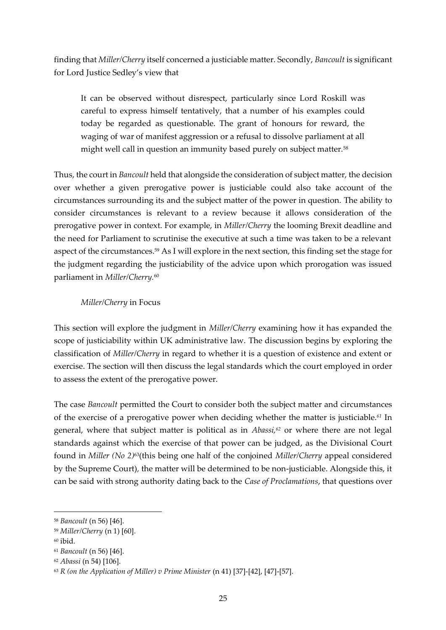finding that *Miller/Cherry* itself concerned a justiciable matter. Secondly, *Bancoult* is significant for Lord Justice Sedley's view that

It can be observed without disrespect, particularly since Lord Roskill was careful to express himself tentatively, that a number of his examples could today be regarded as questionable. The grant of honours for reward, the waging of war of manifest aggression or a refusal to dissolve parliament at all might well call in question an immunity based purely on subject matter.<sup>58</sup>

Thus, the court in *Bancoult* held that alongside the consideration of subject matter, the decision over whether a given prerogative power is justiciable could also take account of the circumstances surrounding its and the subject matter of the power in question. The ability to consider circumstances is relevant to a review because it allows consideration of the prerogative power in context. For example, in *Miller/Cherry* the looming Brexit deadline and the need for Parliament to scrutinise the executive at such a time was taken to be a relevant aspect of the circumstances.<sup>59</sup> As I will explore in the next section, this finding set the stage for the judgment regarding the justiciability of the advice upon which prorogation was issued parliament in *Miller/Cherry.* 60

### *Miller/Cherry* in Focus

This section will explore the judgment in *Miller/Cherry* examining how it has expanded the scope of justiciability within UK administrative law. The discussion begins by exploring the classification of *Miller/Cherry* in regard to whether it is a question of existence and extent or exercise. The section will then discuss the legal standards which the court employed in order to assess the extent of the prerogative power.

The case *Bancoult* permitted the Court to consider both the subject matter and circumstances of the exercise of a prerogative power when deciding whether the matter is justiciable.*<sup>61</sup>* In general, where that subject matter is political as in *Abassi, <sup>62</sup>* or where there are not legal standards against which the exercise of that power can be judged, as the Divisional Court found in *Miller (No 2)*63(this being one half of the conjoined *Miller/Cherry* appeal considered by the Supreme Court)*,* the matter will be determined to be non-justiciable. Alongside this, it can be said with strong authority dating back to the *Case of Proclamations*, that questions over

<sup>58</sup> *Bancoult* (n 56) [46].

<sup>59</sup> *Miller/Cherry* (n 1) [60].

<sup>60</sup> ibid.

<sup>61</sup> *Bancoult* (n 56) [46].

<sup>62</sup> *Abassi* (n 54) [106].

<sup>&</sup>lt;sup>63</sup> *R* (on the Application of Miller) v Prime Minister (n 41) [37]-[42], [47]-[57].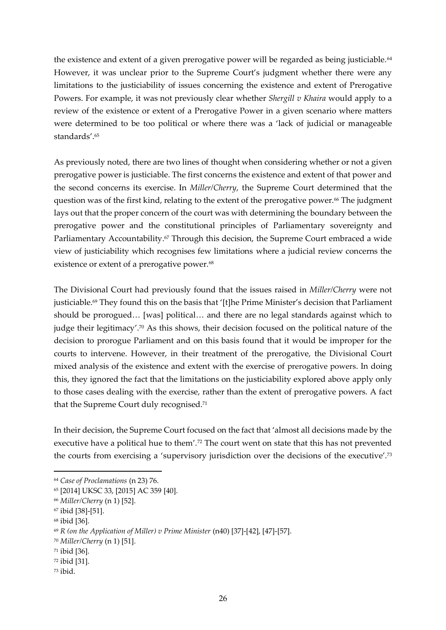the existence and extent of a given prerogative power will be regarded as being justiciable.<sup>64</sup> However, it was unclear prior to the Supreme Court's judgment whether there were any limitations to the justiciability of issues concerning the existence and extent of Prerogative Powers. For example, it was not previously clear whether *Shergill v Khaira* would apply to a review of the existence or extent of a Prerogative Power in a given scenario where matters were determined to be too political or where there was a 'lack of judicial or manageable standards'. 65

As previously noted, there are two lines of thought when considering whether or not a given prerogative power is justiciable. The first concerns the existence and extent of that power and the second concerns its exercise. In *Miller/Cherry*, the Supreme Court determined that the question was of the first kind, relating to the extent of the prerogative power. <sup>66</sup> The judgment lays out that the proper concern of the court was with determining the boundary between the prerogative power and the constitutional principles of Parliamentary sovereignty and Parliamentary Accountability.<sup>67</sup> Through this decision, the Supreme Court embraced a wide view of justiciability which recognises few limitations where a judicial review concerns the existence or extent of a prerogative power.<sup>68</sup>

The Divisional Court had previously found that the issues raised in *Miller/Cherry* were not justiciable.<sup>69</sup> They found this on the basis that '[t]he Prime Minister's decision that Parliament should be prorogued… [was] political… and there are no legal standards against which to judge their legitimacy'.<sup>70</sup> As this shows, their decision focused on the political nature of the decision to prorogue Parliament and on this basis found that it would be improper for the courts to intervene. However, in their treatment of the prerogative, the Divisional Court mixed analysis of the existence and extent with the exercise of prerogative powers. In doing this, they ignored the fact that the limitations on the justiciability explored above apply only to those cases dealing with the exercise, rather than the extent of prerogative powers. A fact that the Supreme Court duly recognised.<sup>71</sup>

In their decision, the Supreme Court focused on the fact that 'almost all decisions made by the executive have a political hue to them'.<sup>72</sup> The court went on state that this has not prevented the courts from exercising a 'supervisory jurisdiction over the decisions of the executive'.<sup>73</sup>

- <sup>72</sup> ibid [31].
- <sup>73</sup> ibid.

<sup>64</sup> *Case of Proclamations* (n 23) 76.

<sup>65</sup> [2014] UKSC 33, [2015] AC 359 [40].

<sup>66</sup> *Miller/Cherry* (n 1) [52].

<sup>67</sup> ibid [38]-[51].

<sup>68</sup> ibid [36].

<sup>69</sup> *R (on the Application of Miller) v Prime Minister* (n40) [37]-[42], [47]-[57].

<sup>70</sup> *Miller/Cherry* (n 1) [51].

<sup>71</sup> ibid [36].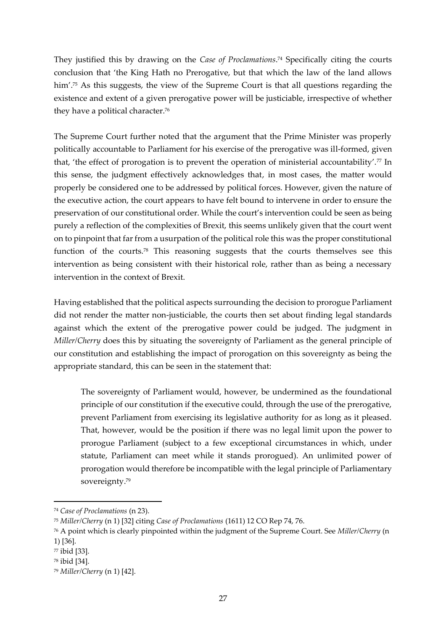They justified this by drawing on the *Case of Proclamations*. <sup>74</sup> Specifically citing the courts conclusion that 'the King Hath no Prerogative, but that which the law of the land allows him'.<sup>75</sup> As this suggests, the view of the Supreme Court is that all questions regarding the existence and extent of a given prerogative power will be justiciable, irrespective of whether they have a political character.<sup>76</sup>

The Supreme Court further noted that the argument that the Prime Minister was properly politically accountable to Parliament for his exercise of the prerogative was ill-formed, given that, 'the effect of prorogation is to prevent the operation of ministerial accountability'.<sup>77</sup> In this sense, the judgment effectively acknowledges that, in most cases, the matter would properly be considered one to be addressed by political forces. However, given the nature of the executive action, the court appears to have felt bound to intervene in order to ensure the preservation of our constitutional order. While the court's intervention could be seen as being purely a reflection of the complexities of Brexit, this seems unlikely given that the court went on to pinpoint that far from a usurpation of the political role this was the proper constitutional function of the courts.<sup>78</sup> This reasoning suggests that the courts themselves see this intervention as being consistent with their historical role, rather than as being a necessary intervention in the context of Brexit.

Having established that the political aspects surrounding the decision to prorogue Parliament did not render the matter non-justiciable, the courts then set about finding legal standards against which the extent of the prerogative power could be judged. The judgment in *Miller/Cherry* does this by situating the sovereignty of Parliament as the general principle of our constitution and establishing the impact of prorogation on this sovereignty as being the appropriate standard, this can be seen in the statement that:

The sovereignty of Parliament would, however, be undermined as the foundational principle of our constitution if the executive could, through the use of the prerogative, prevent Parliament from exercising its legislative authority for as long as it pleased. That, however, would be the position if there was no legal limit upon the power to prorogue Parliament (subject to a few exceptional circumstances in which, under statute, Parliament can meet while it stands prorogued). An unlimited power of prorogation would therefore be incompatible with the legal principle of Parliamentary sovereignty.<sup>79</sup>

<sup>74</sup> *Case of Proclamations* (n 23).

<sup>75</sup> *Miller/Cherry* (n 1) [32] citing *Case of Proclamations* (1611) 12 CO Rep 74, 76.

<sup>76</sup> A point which is clearly pinpointed within the judgment of the Supreme Court. See *Miller/Cherry* (n 1) [36].

<sup>77</sup> ibid [33].

<sup>78</sup> ibid [34].

<sup>79</sup> *Miller/Cherry* (n 1) [42].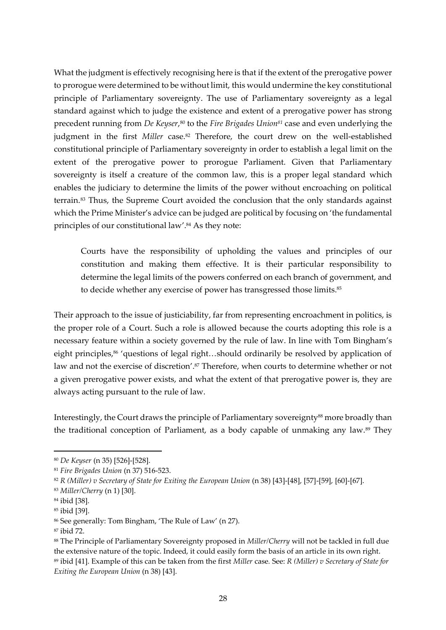What the judgment is effectively recognising here is that if the extent of the prerogative power to prorogue were determined to be without limit, this would undermine the key constitutional principle of Parliamentary sovereignty. The use of Parliamentary sovereignty as a legal standard against which to judge the existence and extent of a prerogative power has strong precedent running from *De Keyser*,<sup>80</sup> to the *Fire Brigades Union*<sup>81</sup> case and even underlying the judgment in the first *Miller* case.<sup>82</sup> Therefore, the court drew on the well-established constitutional principle of Parliamentary sovereignty in order to establish a legal limit on the extent of the prerogative power to prorogue Parliament. Given that Parliamentary sovereignty is itself a creature of the common law, this is a proper legal standard which enables the judiciary to determine the limits of the power without encroaching on political terrain.<sup>83</sup> Thus, the Supreme Court avoided the conclusion that the only standards against which the Prime Minister's advice can be judged are political by focusing on 'the fundamental principles of our constitutional law'.<sup>84</sup> As they note:

Courts have the responsibility of upholding the values and principles of our constitution and making them effective. It is their particular responsibility to determine the legal limits of the powers conferred on each branch of government, and to decide whether any exercise of power has transgressed those limits.<sup>85</sup>

Their approach to the issue of justiciability, far from representing encroachment in politics, is the proper role of a Court. Such a role is allowed because the courts adopting this role is a necessary feature within a society governed by the rule of law. In line with Tom Bingham's eight principles,<sup>86</sup> 'questions of legal right...should ordinarily be resolved by application of law and not the exercise of discretion'.<sup>87</sup> Therefore, when courts to determine whether or not a given prerogative power exists, and what the extent of that prerogative power is, they are always acting pursuant to the rule of law.

Interestingly, the Court draws the principle of Parliamentary sovereignty<sup>88</sup> more broadly than the traditional conception of Parliament, as a body capable of unmaking any law.<sup>89</sup> They

<sup>80</sup> *De Keyser* (n 35) [526]-[528].

<sup>81</sup> *Fire Brigades Union* (n 37) 516-523.

<sup>&</sup>lt;sup>82</sup> *R (Miller) v Secretary of State for Exiting the European Union (n 38)* [43]-[48], [57]-[59], [60]-[67].

<sup>83</sup> *Miller/Cherry* (n 1) [30].

<sup>84</sup> ibid [38].

<sup>85</sup> ibid [39].

<sup>86</sup> See generally: Tom Bingham, 'The Rule of Law' (n 27).

<sup>87</sup> ibid 72.

<sup>88</sup> The Principle of Parliamentary Sovereignty proposed in *Miller/Cherry* will not be tackled in full due the extensive nature of the topic. Indeed, it could easily form the basis of an article in its own right. <sup>89</sup> ibid [41]. Example of this can be taken from the first *Miller* case*.* See: *R (Miller) v Secretary of State for Exiting the European Union* (n 38) [43].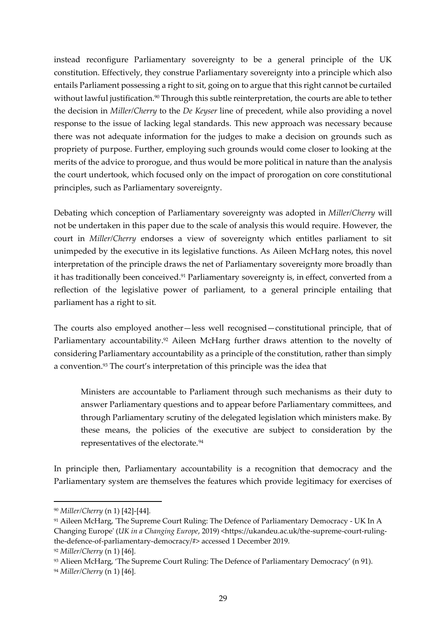instead reconfigure Parliamentary sovereignty to be a general principle of the UK constitution. Effectively, they construe Parliamentary sovereignty into a principle which also entails Parliament possessing a right to sit, going on to argue that this right cannot be curtailed without lawful justification.<sup>90</sup> Through this subtle reinterpretation, the courts are able to tether the decision in *Miller/Cherry* to the *De Keyser* line of precedent, while also providing a novel response to the issue of lacking legal standards. This new approach was necessary because there was not adequate information for the judges to make a decision on grounds such as propriety of purpose. Further, employing such grounds would come closer to looking at the merits of the advice to prorogue, and thus would be more political in nature than the analysis the court undertook, which focused only on the impact of prorogation on core constitutional principles, such as Parliamentary sovereignty.

Debating which conception of Parliamentary sovereignty was adopted in *Miller/Cherry* will not be undertaken in this paper due to the scale of analysis this would require. However, the court in *Miller/Cherry* endorses a view of sovereignty which entitles parliament to sit unimpeded by the executive in its legislative functions. As Aileen McHarg notes, this novel interpretation of the principle draws the net of Parliamentary sovereignty more broadly than it has traditionally been conceived.<sup>91</sup> Parliamentary sovereignty is, in effect, converted from a reflection of the legislative power of parliament, to a general principle entailing that parliament has a right to sit.

The courts also employed another—less well recognised—constitutional principle, that of Parliamentary accountability. <sup>92</sup> Aileen McHarg further draws attention to the novelty of considering Parliamentary accountability as a principle of the constitution, rather than simply a convention.<sup>93</sup> The court's interpretation of this principle was the idea that

Ministers are accountable to Parliament through such mechanisms as their duty to answer Parliamentary questions and to appear before Parliamentary committees, and through Parliamentary scrutiny of the delegated legislation which ministers make. By these means, the policies of the executive are subject to consideration by the representatives of the electorate.<sup>94</sup>

In principle then, Parliamentary accountability is a recognition that democracy and the Parliamentary system are themselves the features which provide legitimacy for exercises of

<sup>90</sup> *Miller/Cherry* (n 1) [42]-[44].

<sup>91</sup> Aileen McHarg, 'The Supreme Court Ruling: The Defence of Parliamentary Democracy - UK In A Changing Europe' (*UK in a Changing Europe*, 2019) <https://ukandeu.ac.uk/the-supreme-court-rulingthe-defence-of-parliamentary-democracy/#> accessed 1 December 2019.

<sup>92</sup> *Miller/Cherry* (n 1) [46].

<sup>93</sup> Alieen McHarg, 'The Supreme Court Ruling: The Defence of Parliamentary Democracy' (n 91).

<sup>94</sup> *Miller/Cherry* (n 1) [46].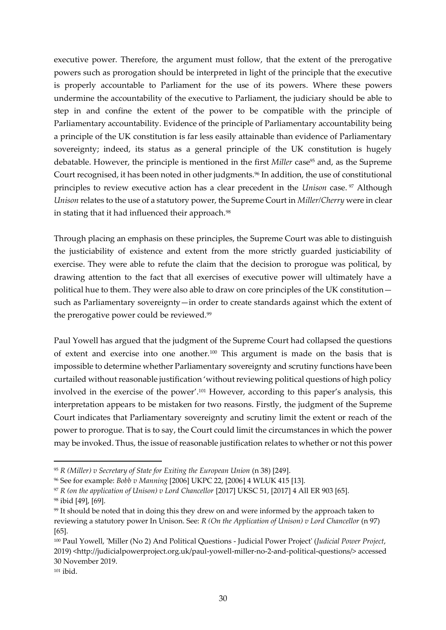executive power. Therefore, the argument must follow, that the extent of the prerogative powers such as prorogation should be interpreted in light of the principle that the executive is properly accountable to Parliament for the use of its powers. Where these powers undermine the accountability of the executive to Parliament, the judiciary should be able to step in and confine the extent of the power to be compatible with the principle of Parliamentary accountability. Evidence of the principle of Parliamentary accountability being a principle of the UK constitution is far less easily attainable than evidence of Parliamentary sovereignty; indeed, its status as a general principle of the UK constitution is hugely debatable. However, the principle is mentioned in the first *Miller* case<sup>95</sup> and, as the Supreme Court recognised, it has been noted in other judgments.<sup>96</sup> In addition, the use of constitutional principles to review executive action has a clear precedent in the *Unison* case. <sup>97</sup> Although *Unison* relates to the use of a statutory power, the Supreme Court in *Miller/Cherry* were in clear in stating that it had influenced their approach.<sup>98</sup>

Through placing an emphasis on these principles, the Supreme Court was able to distinguish the justiciability of existence and extent from the more strictly guarded justiciability of exercise. They were able to refute the claim that the decision to prorogue was political, by drawing attention to the fact that all exercises of executive power will ultimately have a political hue to them. They were also able to draw on core principles of the UK constitution such as Parliamentary sovereignty—in order to create standards against which the extent of the prerogative power could be reviewed.<sup>99</sup>

Paul Yowell has argued that the judgment of the Supreme Court had collapsed the questions of extent and exercise into one another.<sup>100</sup> This argument is made on the basis that is impossible to determine whether Parliamentary sovereignty and scrutiny functions have been curtailed without reasonable justification 'without reviewing political questions of high policy involved in the exercise of the power'.<sup>101</sup> However, according to this paper's analysis, this interpretation appears to be mistaken for two reasons. Firstly, the judgment of the Supreme Court indicates that Parliamentary sovereignty and scrutiny limit the extent or reach of the power to prorogue. That is to say, the Court could limit the circumstances in which the power may be invoked. Thus, the issue of reasonable justification relates to whether or not this power

<sup>95</sup> *R (Miller) v Secretary of State for Exiting the European Union* (n 38) [249].

<sup>96</sup> See for example: *Bobb v Manning* [2006] UKPC 22, [2006] 4 WLUK 415 [13].

<sup>97</sup> *R (on the application of Unison) v Lord Chancellor* [2017] UKSC 51, [2017] 4 All ER 903 [65]. <sup>98</sup> ibid [49], [69].

<sup>&</sup>lt;sup>99</sup> It should be noted that in doing this they drew on and were informed by the approach taken to reviewing a statutory power In Unison. See: *R (On the Application of Unison) v Lord Chancellor* (n 97) [65].

<sup>100</sup> Paul Yowell, 'Miller (No 2) And Political Questions - Judicial Power Project' (*Judicial Power Project*, 2019) <http://judicialpowerproject.org.uk/paul-yowell-miller-no-2-and-political-questions/> accessed 30 November 2019.

 $101$  ibid.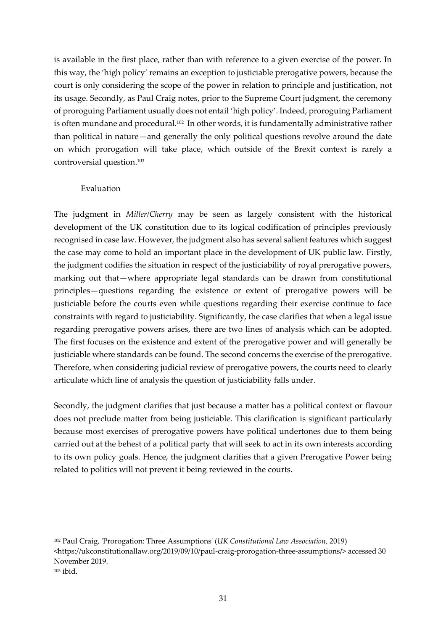is available in the first place, rather than with reference to a given exercise of the power. In this way, the 'high policy' remains an exception to justiciable prerogative powers, because the court is only considering the scope of the power in relation to principle and justification, not its usage. Secondly, as Paul Craig notes, prior to the Supreme Court judgment, the ceremony of proroguing Parliament usually does not entail 'high policy'. Indeed, proroguing Parliament is often mundane and procedural. <sup>102</sup> In other words, it is fundamentally administrative rather than political in nature—and generally the only political questions revolve around the date on which prorogation will take place, which outside of the Brexit context is rarely a controversial question. 103

#### Evaluation

The judgment in *Miller/Cherry* may be seen as largely consistent with the historical development of the UK constitution due to its logical codification of principles previously recognised in case law. However, the judgment also has several salient features which suggest the case may come to hold an important place in the development of UK public law. Firstly, the judgment codifies the situation in respect of the justiciability of royal prerogative powers, marking out that—where appropriate legal standards can be drawn from constitutional principles—questions regarding the existence or extent of prerogative powers will be justiciable before the courts even while questions regarding their exercise continue to face constraints with regard to justiciability. Significantly, the case clarifies that when a legal issue regarding prerogative powers arises, there are two lines of analysis which can be adopted. The first focuses on the existence and extent of the prerogative power and will generally be justiciable where standards can be found. The second concerns the exercise of the prerogative. Therefore, when considering judicial review of prerogative powers, the courts need to clearly articulate which line of analysis the question of justiciability falls under.

Secondly, the judgment clarifies that just because a matter has a political context or flavour does not preclude matter from being justiciable. This clarification is significant particularly because most exercises of prerogative powers have political undertones due to them being carried out at the behest of a political party that will seek to act in its own interests according to its own policy goals. Hence, the judgment clarifies that a given Prerogative Power being related to politics will not prevent it being reviewed in the courts.

<sup>102</sup> Paul Craig, 'Prorogation: Three Assumptions' (*UK Constitutional Law Association*, 2019) <https://ukconstitutionallaw.org/2019/09/10/paul-craig-prorogation-three-assumptions/> accessed 30 November 2019. <sup>103</sup> ibid.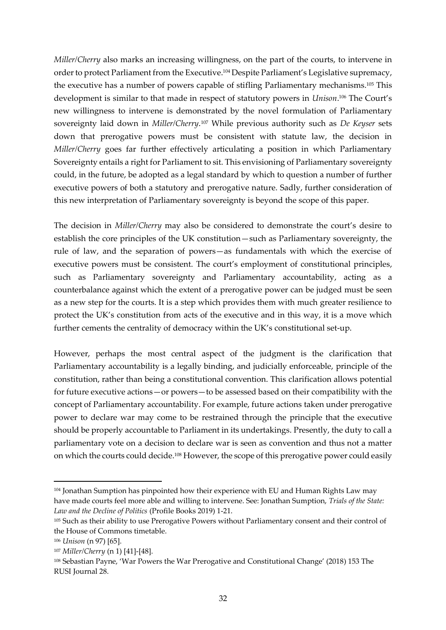*Miller/Cherry* also marks an increasing willingness, on the part of the courts, to intervene in order to protect Parliament from the Executive. <sup>104</sup> Despite Parliament's Legislative supremacy, the executive has a number of powers capable of stifling Parliamentary mechanisms.<sup>105</sup> This development is similar to that made in respect of statutory powers in *Unison*. <sup>106</sup> The Court's new willingness to intervene is demonstrated by the novel formulation of Parliamentary sovereignty laid down in *Miller/Cherry*. <sup>107</sup> While previous authority such as *De Keyser* sets down that prerogative powers must be consistent with statute law, the decision in *Miller/Cherry* goes far further effectively articulating a position in which Parliamentary Sovereignty entails a right for Parliament to sit. This envisioning of Parliamentary sovereignty could, in the future, be adopted as a legal standard by which to question a number of further executive powers of both a statutory and prerogative nature. Sadly, further consideration of this new interpretation of Parliamentary sovereignty is beyond the scope of this paper.

The decision in *Miller/Cherry* may also be considered to demonstrate the court's desire to establish the core principles of the UK constitution—such as Parliamentary sovereignty, the rule of law, and the separation of powers—as fundamentals with which the exercise of executive powers must be consistent. The court's employment of constitutional principles, such as Parliamentary sovereignty and Parliamentary accountability, acting as a counterbalance against which the extent of a prerogative power can be judged must be seen as a new step for the courts. It is a step which provides them with much greater resilience to protect the UK's constitution from acts of the executive and in this way, it is a move which further cements the centrality of democracy within the UK's constitutional set-up.

However, perhaps the most central aspect of the judgment is the clarification that Parliamentary accountability is a legally binding, and judicially enforceable, principle of the constitution, rather than being a constitutional convention. This clarification allows potential for future executive actions—or powers—to be assessed based on their compatibility with the concept of Parliamentary accountability. For example, future actions taken under prerogative power to declare war may come to be restrained through the principle that the executive should be properly accountable to Parliament in its undertakings. Presently, the duty to call a parliamentary vote on a decision to declare war is seen as convention and thus not a matter on which the courts could decide.<sup>108</sup> However, the scope of this prerogative power could easily

<sup>104</sup> Jonathan Sumption has pinpointed how their experience with EU and Human Rights Law may have made courts feel more able and willing to intervene. See: Jonathan Sumption, *Trials of the State: Law and the Decline of Politics* (Profile Books 2019) 1-21.

<sup>105</sup> Such as their ability to use Prerogative Powers without Parliamentary consent and their control of the House of Commons timetable.

<sup>106</sup> *Unison* (n 97) [65].

<sup>107</sup> *Miller/Cherry* (n 1) [41]-[48].

<sup>108</sup> Sebastian Payne, 'War Powers the War Prerogative and Constitutional Change' (2018) 153 The RUSI Journal 28.